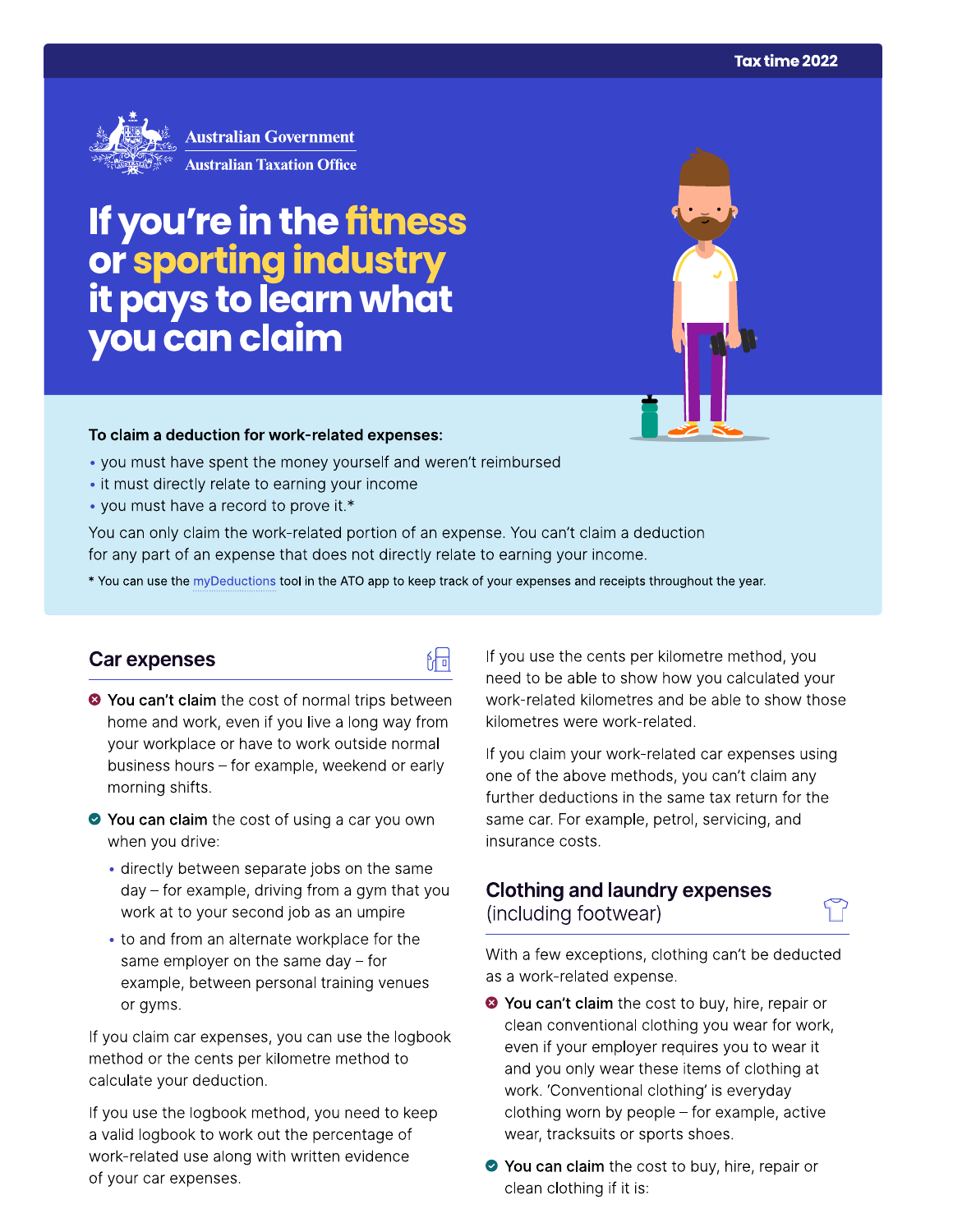

**Australian Government Australian Taxation Office** 

# If you're in the fitness or sporting industry<br>it pays to learn what<br>you can claim

### To claim a deduction for work-related expenses:

- you must have spent the money yourself and weren't reimbursed
- it must directly relate to earning your income
- you must have a record to prove it.\*

You can only claim the work-related portion of an expense. You can't claim a deduction for any part of an expense that does not directly relate to earning your income.

\* You can use the myDeductions tool in the ATO app to keep track of your expenses and receipts throughout the year.

品

## Car expenses

- <sup>●</sup> You can't claim the cost of normal trips between home and work, even if you live a long way from your workplace or have to work outside normal business hours - for example, weekend or early morning shifts.
- ◆ You can claim the cost of using a car you own when you drive:
	- · directly between separate jobs on the same  $day - for example, driving from a gym that you$ work at to your second job as an umpire
	- to and from an alternate workplace for the same employer on the same day  $-$  for example, between personal training venues or gyms.

If you claim car expenses, you can use the logbook method or the cents per kilometre method to calculate your deduction.

If you use the logbook method, you need to keep a valid logbook to work out the percentage of work-related use along with written evidence of your car expenses.

If you use the cents per kilometre method, you need to be able to show how you calculated your work-related kilometres and be able to show those kilometres were work-related.

If you claim your work-related car expenses using one of the above methods, you can't claim any further deductions in the same tax return for the same car. For example, petrol, servicing, and insurance costs.

# **Clothing and laundry expenses** (including footwear)

With a few exceptions, clothing can't be deducted as a work-related expense.

- <sup>●</sup> You can't claim the cost to buy, hire, repair or clean conventional clothing you wear for work, even if your employer requires you to wear it and you only wear these items of clothing at work. 'Conventional clothing' is everyday clothing worn by people - for example, active wear, tracksuits or sports shoes.
- ◆ You can claim the cost to buy, hire, repair or clean clothing if it is: